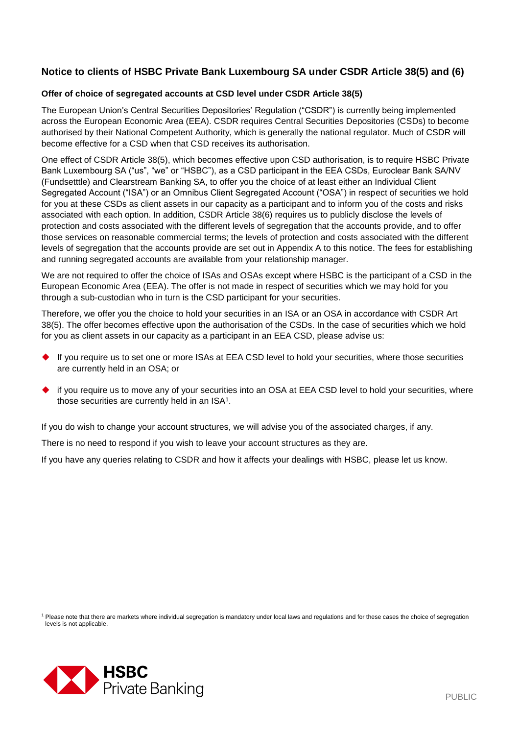## **Notice to clients of HSBC Private Bank Luxembourg SA under CSDR Article 38(5) and (6)**

#### **Offer of choice of segregated accounts at CSD level under CSDR Article 38(5)**

The European Union's Central Securities Depositories' Regulation ("CSDR") is currently being implemented across the European Economic Area (EEA). CSDR requires Central Securities Depositories (CSDs) to become authorised by their National Competent Authority, which is generally the national regulator. Much of CSDR will become effective for a CSD when that CSD receives its authorisation.

One effect of CSDR Article 38(5), which becomes effective upon CSD authorisation, is to require HSBC Private Bank Luxembourg SA ("us", "we" or "HSBC"), as a CSD participant in the EEA CSDs, Euroclear Bank SA/NV (Fundsetttle) and Clearstream Banking SA, to offer you the choice of at least either an Individual Client Segregated Account ("ISA") or an Omnibus Client Segregated Account ("OSA") in respect of securities we hold for you at these CSDs as client assets in our capacity as a participant and to inform you of the costs and risks associated with each option. In addition, CSDR Article 38(6) requires us to publicly disclose the levels of protection and costs associated with the different levels of segregation that the accounts provide, and to offer those services on reasonable commercial terms; the levels of protection and costs associated with the different levels of segregation that the accounts provide are set out in Appendix A to this notice. The fees for establishing and running segregated accounts are available from your relationship manager.

We are not required to offer the choice of ISAs and OSAs except where HSBC is the participant of a CSD in the European Economic Area (EEA). The offer is not made in respect of securities which we may hold for you through a sub-custodian who in turn is the CSD participant for your securities.

Therefore, we offer you the choice to hold your securities in an ISA or an OSA in accordance with CSDR Art 38(5). The offer becomes effective upon the authorisation of the CSDs. In the case of securities which we hold for you as client assets in our capacity as a participant in an EEA CSD, please advise us:

- ◆ If you require us to set one or more ISAs at EEA CSD level to hold your securities, where those securities are currently held in an OSA; or
- if you require us to move any of your securities into an OSA at EEA CSD level to hold your securities, where those securities are currently held in an  $ISA<sup>1</sup>$ .

If you do wish to change your account structures, we will advise you of the associated charges, if any.

There is no need to respond if you wish to leave your account structures as they are.

If you have any queries relating to CSDR and how it affects your dealings with HSBC, please let us know.

<sup>1</sup> Please note that there are markets where individual segregation is mandatory under local laws and regulations and for these cases the choice of segregation levels is not applicable.

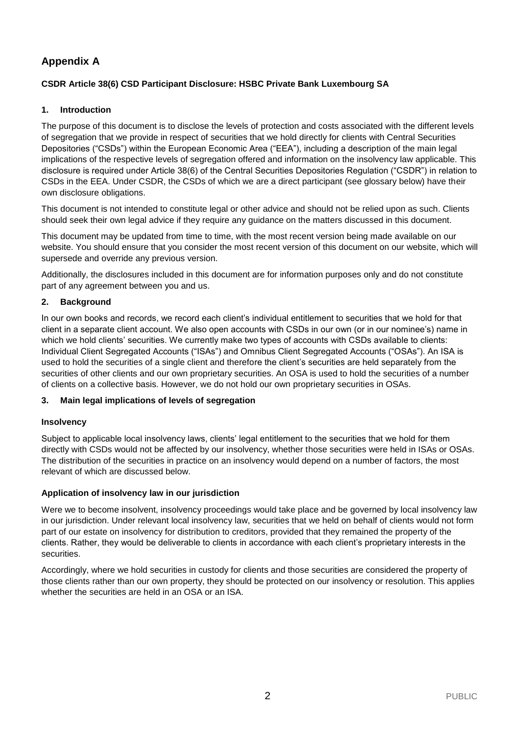# **Appendix A**

## **CSDR Article 38(6) CSD Participant Disclosure: HSBC Private Bank Luxembourg SA**

## **1. Introduction**

The purpose of this document is to disclose the levels of protection and costs associated with the different levels of segregation that we provide in respect of securities that we hold directly for clients with Central Securities Depositories ("CSDs") within the European Economic Area ("EEA"), including a description of the main legal implications of the respective levels of segregation offered and information on the insolvency law applicable. This disclosure is required under Article 38(6) of the Central Securities Depositories Regulation ("CSDR") in relation to CSDs in the EEA. Under CSDR, the CSDs of which we are a direct participant (see glossary below) have their own disclosure obligations.

This document is not intended to constitute legal or other advice and should not be relied upon as such. Clients should seek their own legal advice if they require any guidance on the matters discussed in this document.

This document may be updated from time to time, with the most recent version being made available on our website. You should ensure that you consider the most recent version of this document on our website, which will supersede and override any previous version.

Additionally, the disclosures included in this document are for information purposes only and do not constitute part of any agreement between you and us.

### **2. Background**

In our own books and records, we record each client's individual entitlement to securities that we hold for that client in a separate client account. We also open accounts with CSDs in our own (or in our nominee's) name in which we hold clients' securities. We currently make two types of accounts with CSDs available to clients: Individual Client Segregated Accounts ("ISAs") and Omnibus Client Segregated Accounts ("OSAs"). An ISA is used to hold the securities of a single client and therefore the client's securities are held separately from the securities of other clients and our own proprietary securities. An OSA is used to hold the securities of a number of clients on a collective basis. However, we do not hold our own proprietary securities in OSAs.

#### **3. Main legal implications of levels of segregation**

#### **Insolvency**

Subject to applicable local insolvency laws, clients' legal entitlement to the securities that we hold for them directly with CSDs would not be affected by our insolvency, whether those securities were held in ISAs or OSAs. The distribution of the securities in practice on an insolvency would depend on a number of factors, the most relevant of which are discussed below.

## **Application of insolvency law in our jurisdiction**

Were we to become insolvent, insolvency proceedings would take place and be governed by local insolvency law in our jurisdiction. Under relevant local insolvency law, securities that we held on behalf of clients would not form part of our estate on insolvency for distribution to creditors, provided that they remained the property of the clients. Rather, they would be deliverable to clients in accordance with each client's proprietary interests in the securities.

Accordingly, where we hold securities in custody for clients and those securities are considered the property of those clients rather than our own property, they should be protected on our insolvency or resolution. This applies whether the securities are held in an OSA or an ISA.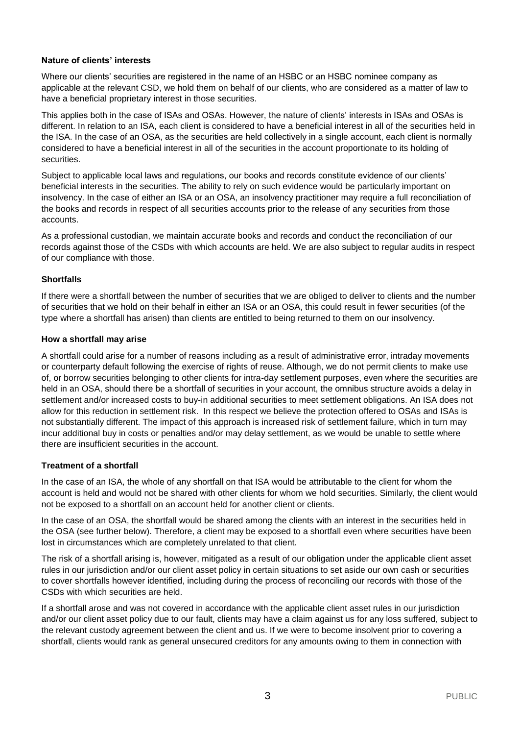#### **Nature of clients' interests**

Where our clients' securities are registered in the name of an HSBC or an HSBC nominee company as applicable at the relevant CSD, we hold them on behalf of our clients, who are considered as a matter of law to have a beneficial proprietary interest in those securities.

This applies both in the case of ISAs and OSAs. However, the nature of clients' interests in ISAs and OSAs is different. In relation to an ISA, each client is considered to have a beneficial interest in all of the securities held in the ISA. In the case of an OSA, as the securities are held collectively in a single account, each client is normally considered to have a beneficial interest in all of the securities in the account proportionate to its holding of securities.

Subject to applicable local laws and regulations, our books and records constitute evidence of our clients' beneficial interests in the securities. The ability to rely on such evidence would be particularly important on insolvency. In the case of either an ISA or an OSA, an insolvency practitioner may require a full reconciliation of the books and records in respect of all securities accounts prior to the release of any securities from those accounts.

As a professional custodian, we maintain accurate books and records and conduct the reconciliation of our records against those of the CSDs with which accounts are held. We are also subject to regular audits in respect of our compliance with those.

#### **Shortfalls**

If there were a shortfall between the number of securities that we are obliged to deliver to clients and the number of securities that we hold on their behalf in either an ISA or an OSA, this could result in fewer securities (of the type where a shortfall has arisen) than clients are entitled to being returned to them on our insolvency.

#### **How a shortfall may arise**

A shortfall could arise for a number of reasons including as a result of administrative error, intraday movements or counterparty default following the exercise of rights of reuse. Although, we do not permit clients to make use of, or borrow securities belonging to other clients for intra-day settlement purposes, even where the securities are held in an OSA, should there be a shortfall of securities in your account, the omnibus structure avoids a delay in settlement and/or increased costs to buy-in additional securities to meet settlement obligations. An ISA does not allow for this reduction in settlement risk. In this respect we believe the protection offered to OSAs and ISAs is not substantially different. The impact of this approach is increased risk of settlement failure, which in turn may incur additional buy in costs or penalties and/or may delay settlement, as we would be unable to settle where there are insufficient securities in the account.

#### **Treatment of a shortfall**

In the case of an ISA, the whole of any shortfall on that ISA would be attributable to the client for whom the account is held and would not be shared with other clients for whom we hold securities. Similarly, the client would not be exposed to a shortfall on an account held for another client or clients.

In the case of an OSA, the shortfall would be shared among the clients with an interest in the securities held in the OSA (see further below). Therefore, a client may be exposed to a shortfall even where securities have been lost in circumstances which are completely unrelated to that client.

The risk of a shortfall arising is, however, mitigated as a result of our obligation under the applicable client asset rules in our jurisdiction and/or our client asset policy in certain situations to set aside our own cash or securities to cover shortfalls however identified, including during the process of reconciling our records with those of the CSDs with which securities are held.

If a shortfall arose and was not covered in accordance with the applicable client asset rules in our jurisdiction and/or our client asset policy due to our fault, clients may have a claim against us for any loss suffered, subject to the relevant custody agreement between the client and us. If we were to become insolvent prior to covering a shortfall, clients would rank as general unsecured creditors for any amounts owing to them in connection with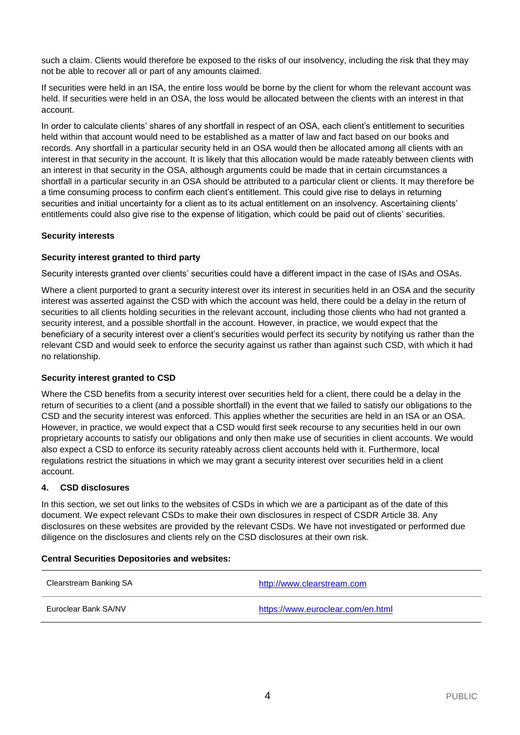such a claim. Clients would therefore be exposed to the risks of our insolvency, including the risk that they may not be able to recover all or part of any amounts claimed.

If securities were held in an ISA, the entire loss would be borne by the client for whom the relevant account was held. If securities were held in an OSA, the loss would be allocated between the clients with an interest in that account.

In order to calculate clients' shares of any shortfall in respect of an OSA, each client's entitlement to securities held within that account would need to be established as a matter of law and fact based on our books and records. Any shortfall in a particular security held in an OSA would then be allocated among all clients with an interest in that security in the account. It is likely that this allocation would be made rateably between clients with an interest in that security in the OSA, although arguments could be made that in certain circumstances a shortfall in a particular security in an OSA should be attributed to a particular client or clients. It may therefore be a time consuming process to confirm each client's entitlement. This could give rise to delays in returning securities and initial uncertainty for a client as to its actual entitlement on an insolvency. Ascertaining clients' entitlements could also give rise to the expense of litigation, which could be paid out of clients' securities.

### **Security interests**

### **Security interest granted to third party**

Security interests granted over clients' securities could have a different impact in the case of ISAs and OSAs.

Where a client purported to grant a security interest over its interest in securities held in an OSA and the security interest was asserted against the CSD with which the account was held, there could be a delay in the return of securities to all clients holding securities in the relevant account, including those clients who had not granted a security interest, and a possible shortfall in the account. However, in practice, we would expect that the beneficiary of a security interest over a client's securities would perfect its security by notifying us rather than the relevant CSD and would seek to enforce the security against us rather than against such CSD, with which it had no relationship.

#### **Security interest granted to CSD**

Where the CSD benefits from a security interest over securities held for a client, there could be a delay in the return of securities to a client (and a possible shortfall) in the event that we failed to satisfy our obligations to the CSD and the security interest was enforced. This applies whether the securities are held in an ISA or an OSA. However, in practice, we would expect that a CSD would first seek recourse to any securities held in our own proprietary accounts to satisfy our obligations and only then make use of securities in client accounts. We would also expect a CSD to enforce its security rateably across client accounts held with it. Furthermore, local regulations restrict the situations in which we may grant a security interest over securities held in a client account.

#### **4. CSD disclosures**

In this section, we set out links to the websites of CSDs in which we are a participant as of the date of this document. We expect relevant CSDs to make their own disclosures in respect of CSDR Article 38. Any disclosures on these websites are provided by the relevant CSDs. We have not investigated or performed due diligence on the disclosures and clients rely on the CSD disclosures at their own risk.

#### **Central Securities Depositories and websites:**

| Clearstream Banking SA | http://www.clearstream.com        |
|------------------------|-----------------------------------|
| Euroclear Bank SA/NV   | https://www.euroclear.com/en.html |